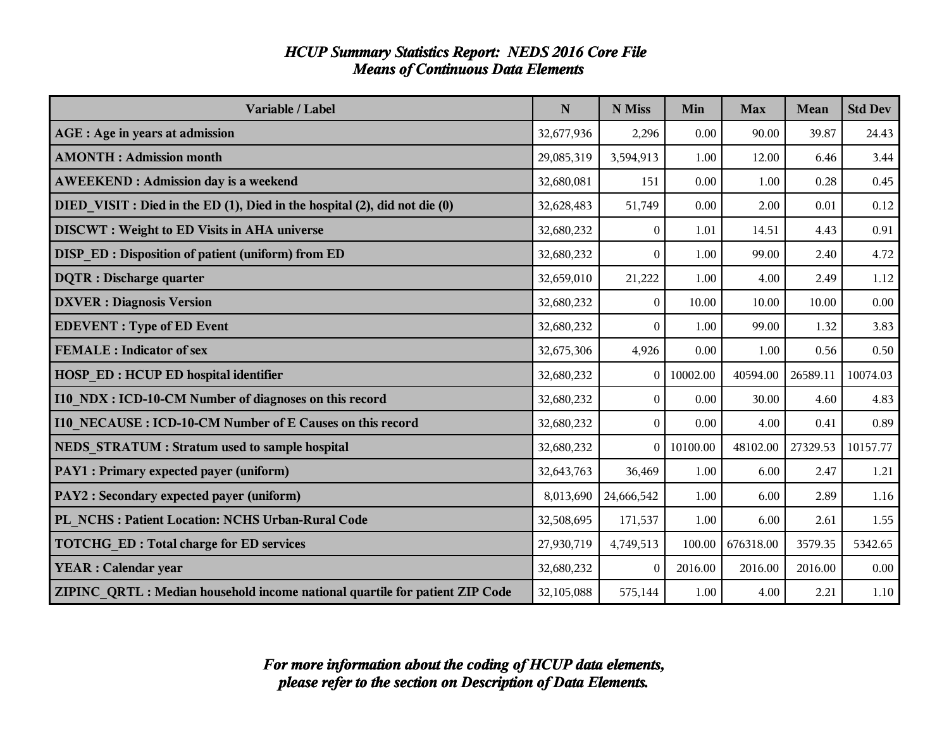| <b>HCUP Summary Statistics Report: NEDS 2016 Core File</b> |  |
|------------------------------------------------------------|--|
| <b>Means of Continuous Data Elements</b>                   |  |

| Variable / Label                                                            | N          | N Miss         | Min      | <b>Max</b> | <b>Mean</b> | <b>Std Dev</b> |
|-----------------------------------------------------------------------------|------------|----------------|----------|------------|-------------|----------------|
| AGE : Age in years at admission                                             | 32,677,936 | 2,296          | 0.00     | 90.00      | 39.87       | 24.43          |
| <b>AMONTH: Admission month</b>                                              | 29,085,319 | 3,594,913      | 1.00     | 12.00      | 6.46        | 3.44           |
| <b>AWEEKEND: Admission day is a weekend</b>                                 | 32,680,081 | 151            | 0.00     | 1.00       | 0.28        | 0.45           |
| DIED VISIT : Died in the ED (1), Died in the hospital (2), did not die (0)  | 32,628,483 | 51,749         | 0.00     | 2.00       | 0.01        | 0.12           |
| <b>DISCWT</b> : Weight to ED Visits in AHA universe                         | 32,680,232 | $\Omega$       | 1.01     | 14.51      | 4.43        | 0.91           |
| <b>DISP_ED</b> : Disposition of patient (uniform) from ED                   | 32,680,232 | $\theta$       | 1.00     | 99.00      | 2.40        | 4.72           |
| <b>DQTR</b> : Discharge quarter                                             | 32,659,010 | 21,222         | 1.00     | 4.00       | 2.49        | 1.12           |
| <b>DXVER</b> : Diagnosis Version                                            | 32,680,232 | $\overline{0}$ | 10.00    | 10.00      | 10.00       | 0.00           |
| <b>EDEVENT</b> : Type of ED Event                                           | 32,680,232 | $\overline{0}$ | 1.00     | 99.00      | 1.32        | 3.83           |
| <b>FEMALE</b> : Indicator of sex                                            | 32,675,306 | 4,926          | 0.00     | 1.00       | 0.56        | 0.50           |
| <b>HOSP ED: HCUP ED hospital identifier</b>                                 | 32,680,232 | $\overline{0}$ | 10002.00 | 40594.00   | 26589.11    | 10074.03       |
| 110 NDX : ICD-10-CM Number of diagnoses on this record                      | 32,680,232 | $\overline{0}$ | 0.00     | 30.00      | 4.60        | 4.83           |
| 110 NECAUSE: ICD-10-CM Number of E Causes on this record                    | 32,680,232 | $\Omega$       | 0.00     | 4.00       | 0.41        | 0.89           |
| NEDS STRATUM : Stratum used to sample hospital                              | 32,680,232 | $\overline{0}$ | 10100.00 | 48102.00   | 27329.53    | 10157.77       |
| <b>PAY1</b> : Primary expected payer (uniform)                              | 32,643,763 | 36,469         | 1.00     | 6.00       | 2.47        | 1.21           |
| <b>PAY2</b> : Secondary expected payer (uniform)                            | 8,013,690  | 24,666,542     | 1.00     | 6.00       | 2.89        | 1.16           |
| PL NCHS: Patient Location: NCHS Urban-Rural Code                            | 32,508,695 | 171,537        | 1.00     | 6.00       | 2.61        | 1.55           |
| <b>TOTCHG_ED: Total charge for ED services</b>                              | 27,930,719 | 4,749,513      | 100.00   | 676318.00  | 3579.35     | 5342.65        |
| <b>YEAR</b> : Calendar year                                                 | 32,680,232 | $\theta$       | 2016.00  | 2016.00    | 2016.00     | 0.00           |
| ZIPINC QRTL: Median household income national quartile for patient ZIP Code | 32,105,088 | 575,144        | 1.00     | 4.00       | 2.21        | 1.10           |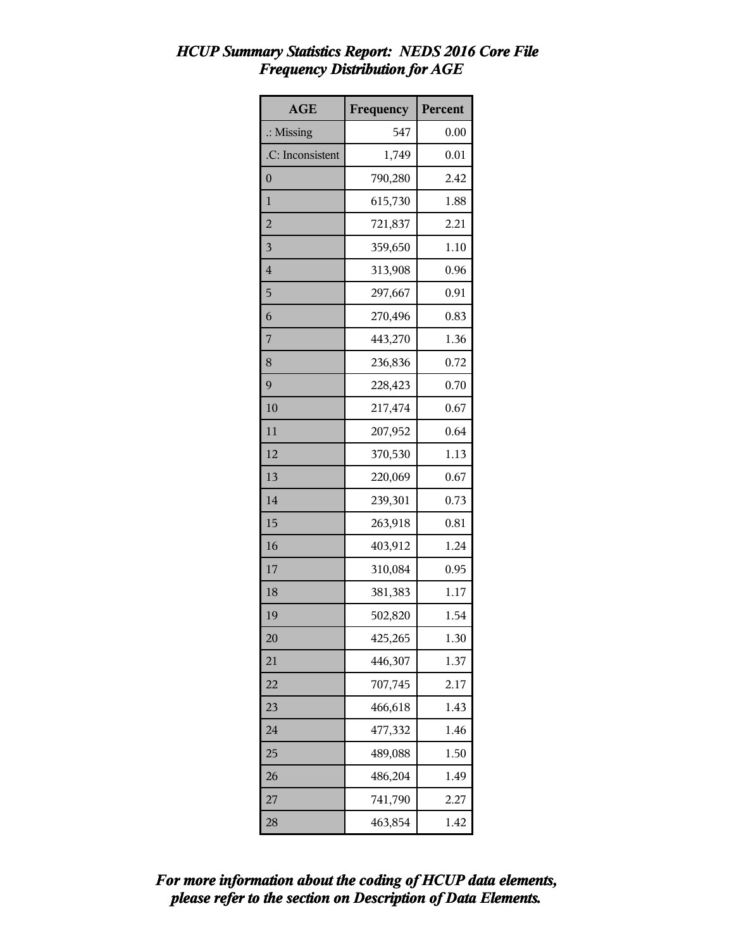| <b>AGE</b>           | Frequency | Percent |
|----------------------|-----------|---------|
| $\therefore$ Missing | 547       | 0.00    |
| .C: Inconsistent     | 1,749     | 0.01    |
| $\overline{0}$       | 790,280   | 2.42    |
| $\mathbf{1}$         | 615,730   | 1.88    |
| $\overline{a}$       | 721,837   | 2.21    |
| 3                    | 359,650   | 1.10    |
| $\overline{4}$       | 313,908   | 0.96    |
| 5                    | 297,667   | 0.91    |
| 6                    | 270,496   | 0.83    |
| 7                    | 443,270   | 1.36    |
| 8                    | 236,836   | 0.72    |
| 9                    | 228,423   | 0.70    |
| 10                   | 217,474   | 0.67    |
| 11                   | 207,952   | 0.64    |
| 12                   | 370,530   | 1.13    |
| 13                   | 220,069   | 0.67    |
| 14                   | 239,301   | 0.73    |
| 15                   | 263,918   | 0.81    |
| 16                   | 403,912   | 1.24    |
| 17                   | 310,084   | 0.95    |
| 18                   | 381,383   | 1.17    |
| 19                   | 502,820   | 1.54    |
| 20                   | 425,265   | 1.30    |
| 21                   | 446,307   | 1.37    |
| 22                   | 707,745   | 2.17    |
| 23                   | 466,618   | 1.43    |
| 24                   | 477,332   | 1.46    |
| 25                   | 489,088   | 1.50    |
| 26                   | 486,204   | 1.49    |
| 27                   | 741,790   | 2.27    |
| 28                   | 463,854   | 1.42    |

#### *HCUP Summary Statistics Report: NEDS 2016 Core File Frequency Distribution for AGE*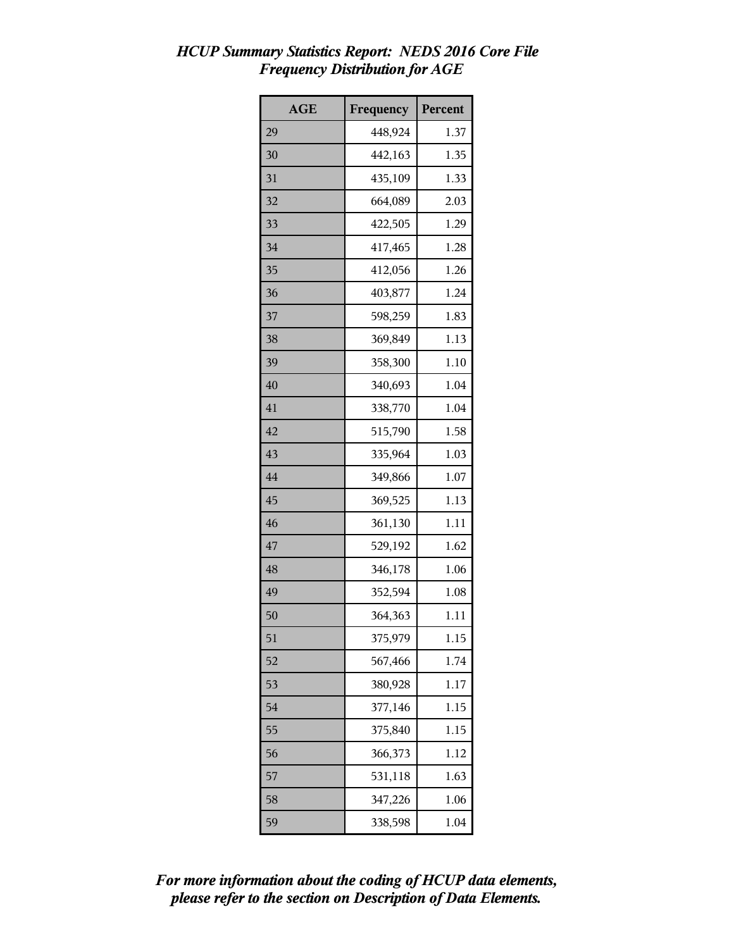# *HCUP Summary Statistics Report: NEDS 2016 Core File Frequency Distribution for AGE*

| <b>AGE</b> | Frequency | Percent |
|------------|-----------|---------|
| 29         | 448,924   | 1.37    |
| 30         | 442,163   | 1.35    |
| 31         | 435,109   | 1.33    |
| 32         | 664,089   | 2.03    |
| 33         | 422,505   | 1.29    |
| 34         | 417,465   | 1.28    |
| 35         | 412,056   | 1.26    |
| 36         | 403,877   | 1.24    |
| 37         | 598,259   | 1.83    |
| 38         | 369,849   | 1.13    |
| 39         | 358,300   | 1.10    |
| 40         | 340,693   | 1.04    |
| 41         | 338,770   | 1.04    |
| 42         | 515,790   | 1.58    |
| 43         | 335,964   | 1.03    |
| 44         | 349,866   | 1.07    |
| 45         | 369,525   | 1.13    |
| 46         | 361,130   | 1.11    |
| 47         | 529,192   | 1.62    |
| 48         | 346,178   | 1.06    |
| 49         | 352,594   | 1.08    |
| 50         | 364,363   | 1.11    |
| 51         | 375,979   | 1.15    |
| 52         | 567,466   | 1.74    |
| 53         | 380,928   | 1.17    |
| 54         | 377,146   | 1.15    |
| 55         | 375,840   | 1.15    |
| 56         | 366,373   | 1.12    |
| 57         | 531,118   | 1.63    |
| 58         | 347,226   | 1.06    |
| 59         | 338,598   | 1.04    |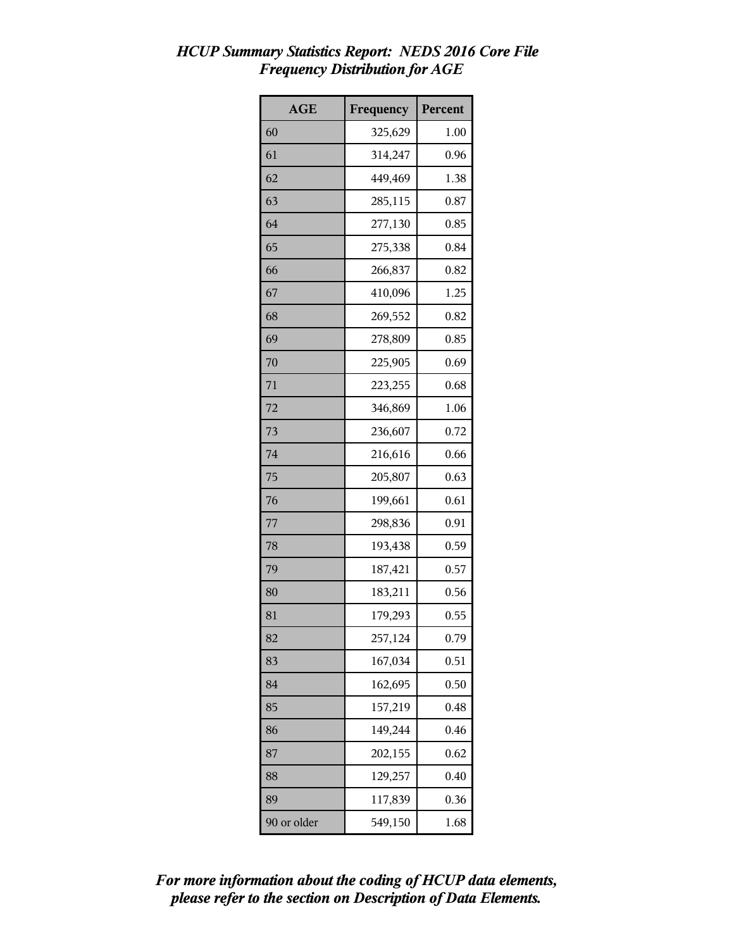## *HCUP Summary Statistics Report: NEDS 2016 Core File Frequency Distribution for AGE*

| <b>AGE</b>  | Frequency | Percent |
|-------------|-----------|---------|
| 60          | 325,629   | 1.00    |
| 61          | 314,247   | 0.96    |
| 62          | 449,469   | 1.38    |
| 63          | 285,115   | 0.87    |
| 64          | 277,130   | 0.85    |
| 65          | 275,338   | 0.84    |
| 66          | 266,837   | 0.82    |
| 67          | 410,096   | 1.25    |
| 68          | 269,552   | 0.82    |
| 69          | 278,809   | 0.85    |
| 70          | 225,905   | 0.69    |
| 71          | 223,255   | 0.68    |
| 72          | 346,869   | 1.06    |
| 73          | 236,607   | 0.72    |
| 74          | 216,616   | 0.66    |
| 75          | 205,807   | 0.63    |
| 76          | 199,661   | 0.61    |
| 77          | 298,836   | 0.91    |
| 78          | 193,438   | 0.59    |
| 79          | 187,421   | 0.57    |
| 80          | 183,211   | 0.56    |
| 81          | 179,293   | 0.55    |
| 82          | 257,124   | 0.79    |
| 83          | 167,034   | 0.51    |
| 84          | 162,695   | 0.50    |
| 85          | 157,219   | 0.48    |
| 86          | 149,244   | 0.46    |
| 87          | 202,155   | 0.62    |
| 88          | 129,257   | 0.40    |
| 89          | 117,839   | 0.36    |
| 90 or older | 549,150   | 1.68    |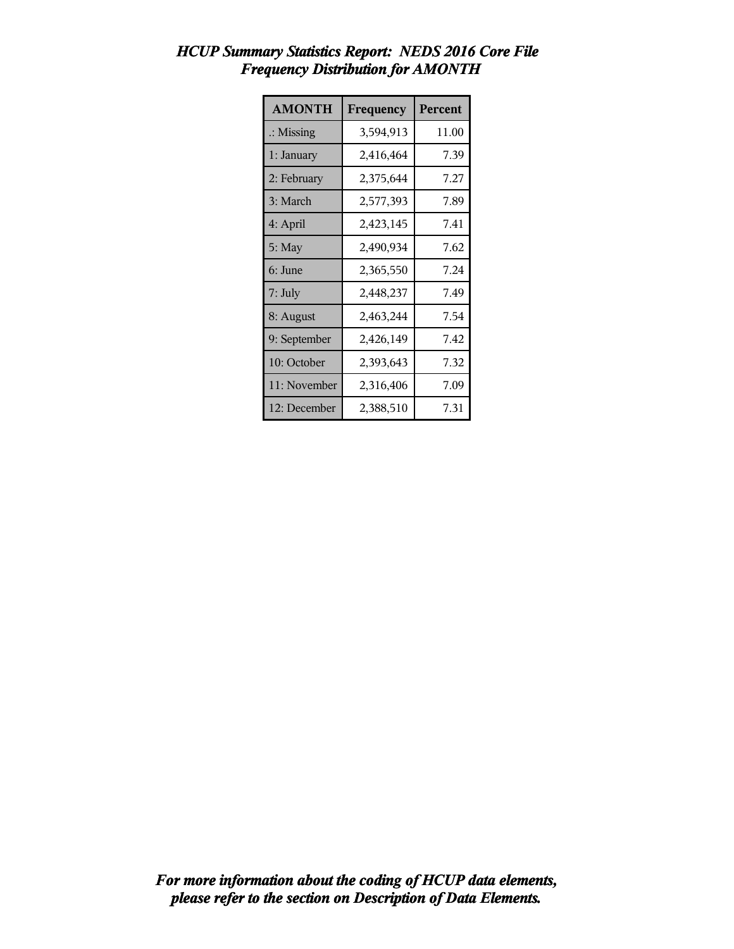| <b>AMONTH</b>        | Frequency | Percent |
|----------------------|-----------|---------|
| $\therefore$ Missing | 3,594,913 | 11.00   |
| 1: January           | 2,416,464 | 7.39    |
| 2: February          | 2,375,644 | 7.27    |
| 3: March             | 2,577,393 | 7.89    |
| 4: April             | 2,423,145 | 7.41    |
| $5:$ May             | 2,490,934 | 7.62    |
| 6: June              | 2,365,550 | 7.24    |
| 7: July              | 2,448,237 | 7.49    |
| 8: August            | 2,463,244 | 7.54    |
| 9: September         | 2,426,149 | 7.42    |
| 10: October          | 2,393,643 | 7.32    |
| 11: November         | 2,316,406 | 7.09    |
| 12: December         | 2,388,510 | 7.31    |

## *HCUP Summary Statistics Report: NEDS 2016 Core File Frequency Distribution for AMONTH*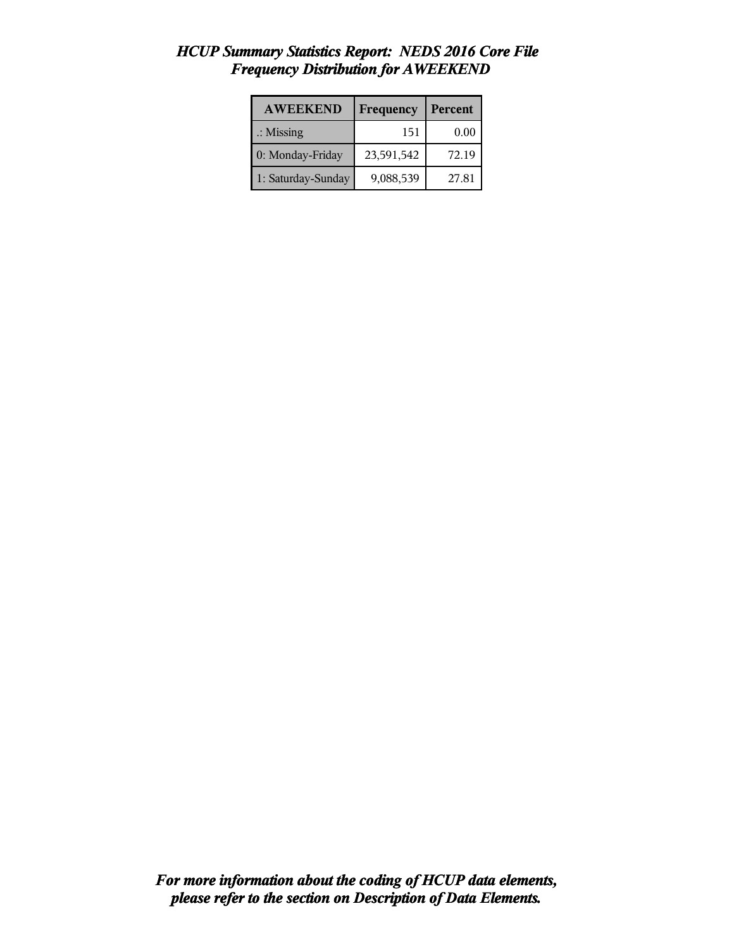| <b>AWEEKEND</b>      | Frequency  | Percent |
|----------------------|------------|---------|
| $\therefore$ Missing | 151        | 0.00    |
| 0: Monday-Friday     | 23,591,542 | 72.19   |
| 1: Saturday-Sunday   | 9,088,539  | 27.81   |

#### *HCUP Summary Statistics Report: NEDS 2016 Core File Frequency Distribution for AWEEKEND*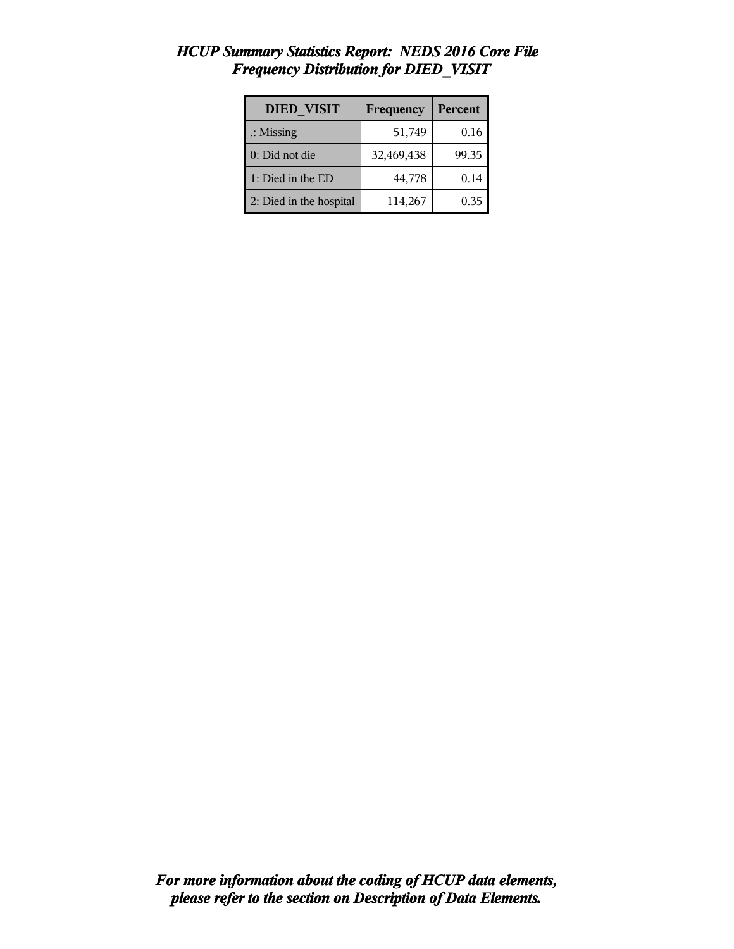| <b>DIED VISIT</b>       | Frequency  | <b>Percent</b> |
|-------------------------|------------|----------------|
| $\therefore$ Missing    | 51,749     | 0.16           |
| 0: Did not die          | 32,469,438 | 99.35          |
| 1: Died in the ED       | 44,778     | 0.14           |
| 2: Died in the hospital | 114,267    | 0.35           |

## *HCUP Summary Statistics Report: NEDS 2016 Core File Frequency Distribution for DIED\_VISIT*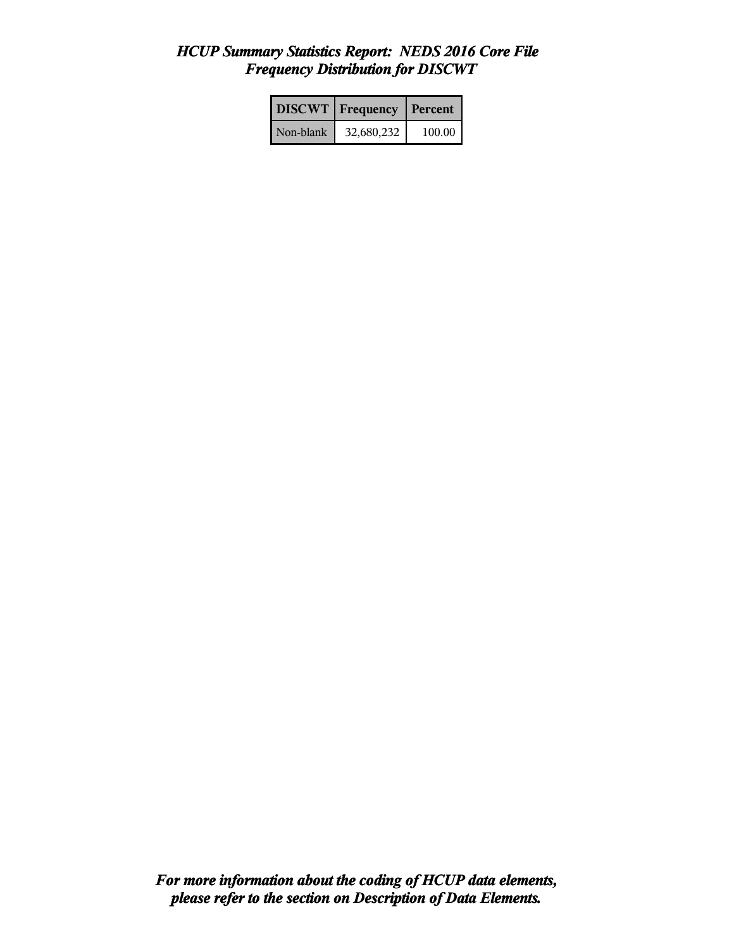## *HCUP Summary Statistics Report: NEDS 2016 Core File Frequency Distribution for DISCWT*

|           | <b>DISCWT</b> Frequency | Percent  |
|-----------|-------------------------|----------|
| Non-blank | 32,680,232              | $100.00$ |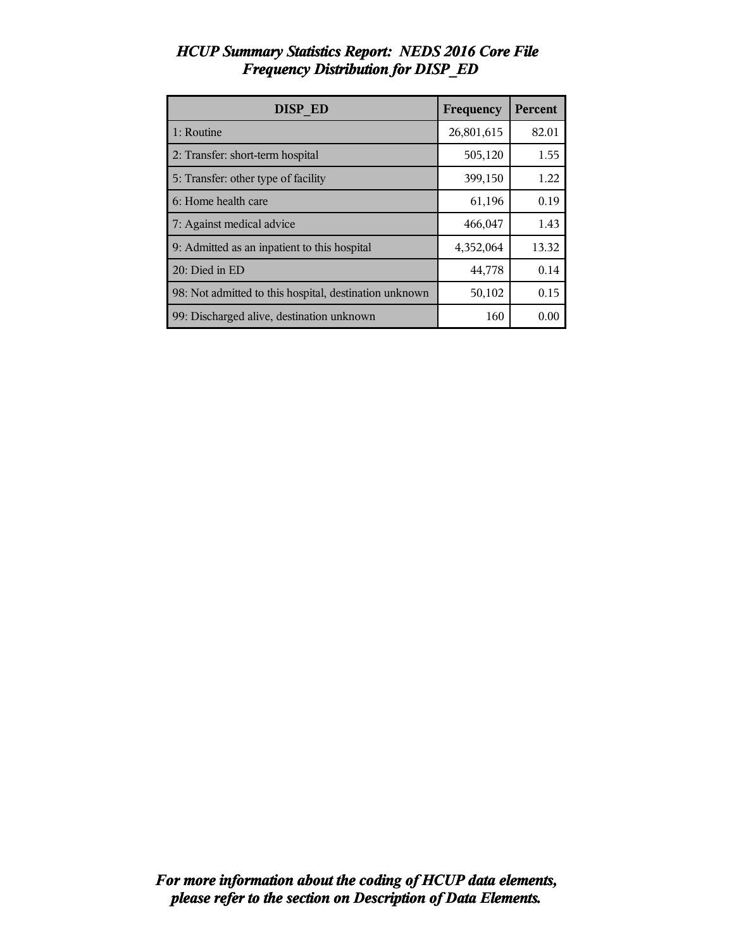| <b>DISP ED</b>                                         | Frequency  | Percent |
|--------------------------------------------------------|------------|---------|
| 1: Routine                                             | 26,801,615 | 82.01   |
| 2: Transfer: short-term hospital                       | 505,120    | 1.55    |
| 5: Transfer: other type of facility                    | 399,150    | 1.22    |
| 6: Home health care                                    | 61,196     | 0.19    |
| 7: Against medical advice                              | 466,047    | 1.43    |
| 9: Admitted as an inpatient to this hospital           | 4,352,064  | 13.32   |
| 20: Died in ED                                         | 44,778     | 0.14    |
| 98: Not admitted to this hospital, destination unknown | 50,102     | 0.15    |
| 99: Discharged alive, destination unknown              | 160        | 0.00    |

## *HCUP Summary Statistics Report: NEDS 2016 Core File Frequency Distribution for DISP\_ED*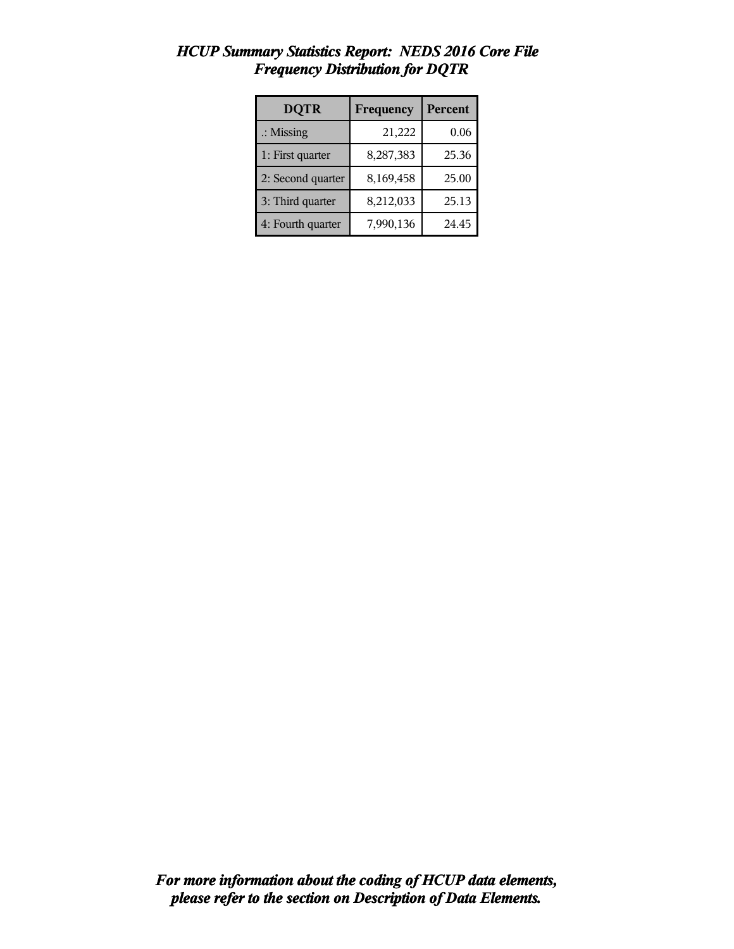| <b>DQTR</b>          | Frequency | Percent |
|----------------------|-----------|---------|
| $\therefore$ Missing | 21,222    | 0.06    |
| 1: First quarter     | 8,287,383 | 25.36   |
| 2: Second quarter    | 8,169,458 | 25.00   |
| 3: Third quarter     | 8,212,033 | 25.13   |
| 4: Fourth quarter    | 7,990,136 | 24.45   |

## *HCUP Summary Statistics Report: NEDS 2016 Core File Frequency Distribution for DQTR*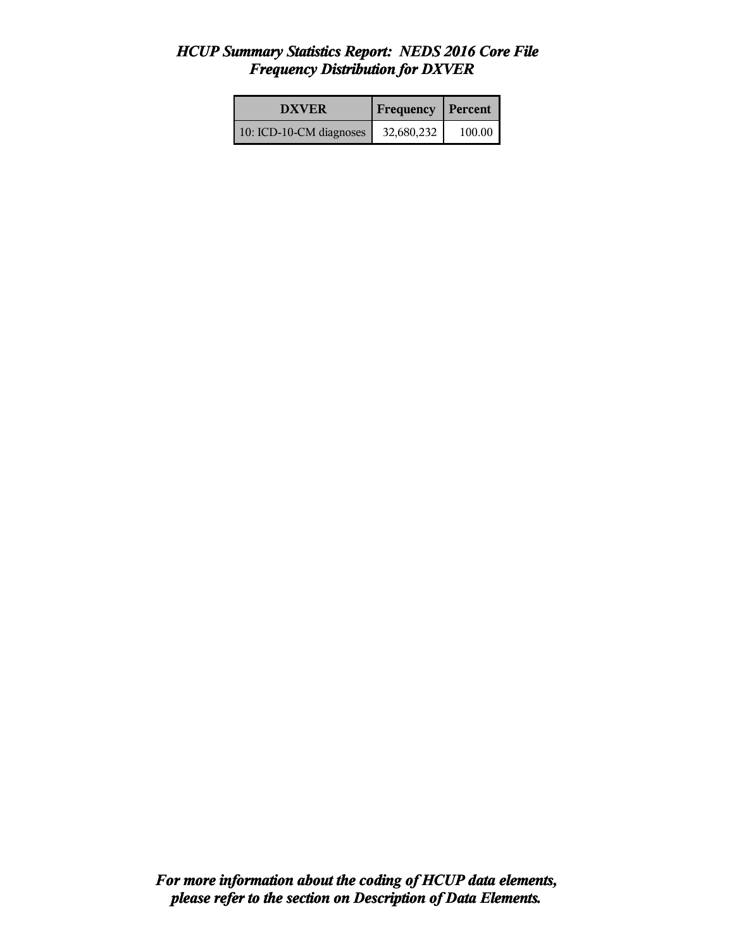#### *HCUP Summary Statistics Report: NEDS 2016 Core File Frequency Distribution for DXVER*

| <b>DXVER</b>            | <b>Frequency Percent</b> |        |
|-------------------------|--------------------------|--------|
| 10: ICD-10-CM diagnoses | 32,680,232               | 100.00 |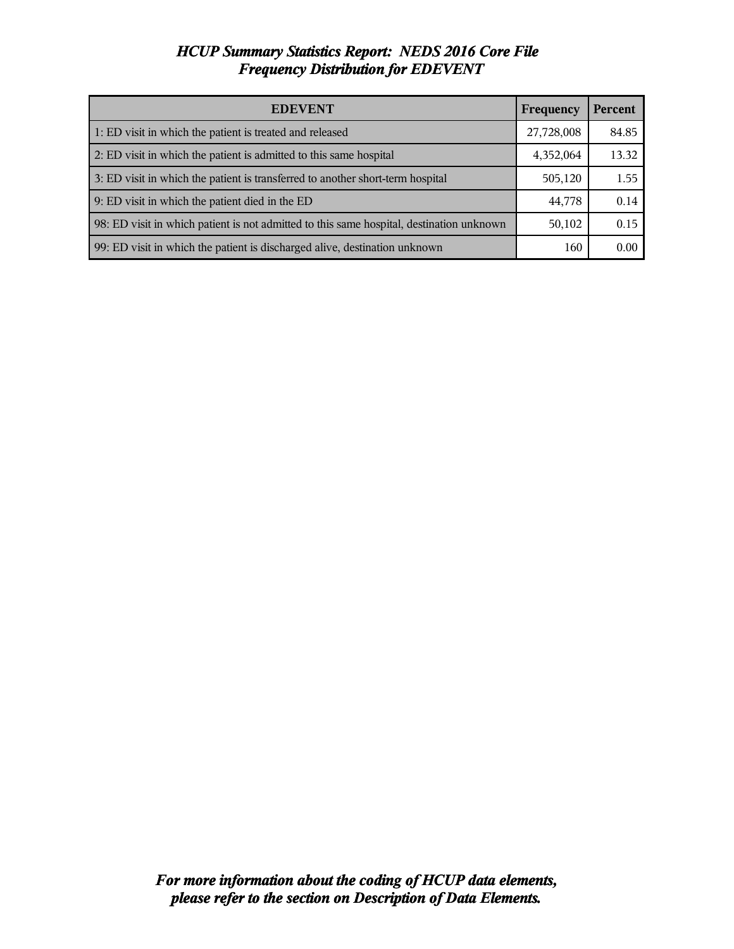#### *HCUP Summary Statistics Report: NEDS 2016 Core File Frequency Distribution for EDEVENT*

| <b>EDEVENT</b>                                                                           | Frequency  | <b>Percent</b> |
|------------------------------------------------------------------------------------------|------------|----------------|
| 1: ED visit in which the patient is treated and released                                 | 27,728,008 | 84.85          |
| 2: ED visit in which the patient is admitted to this same hospital                       | 4,352,064  | 13.32          |
| 3: ED visit in which the patient is transferred to another short-term hospital           | 505,120    | 1.55           |
| 9: ED visit in which the patient died in the ED                                          | 44,778     | 0.14           |
| 98: ED visit in which patient is not admitted to this same hospital, destination unknown | 50,102     | 0.15           |
| 99: ED visit in which the patient is discharged alive, destination unknown               | 160        | 0.00           |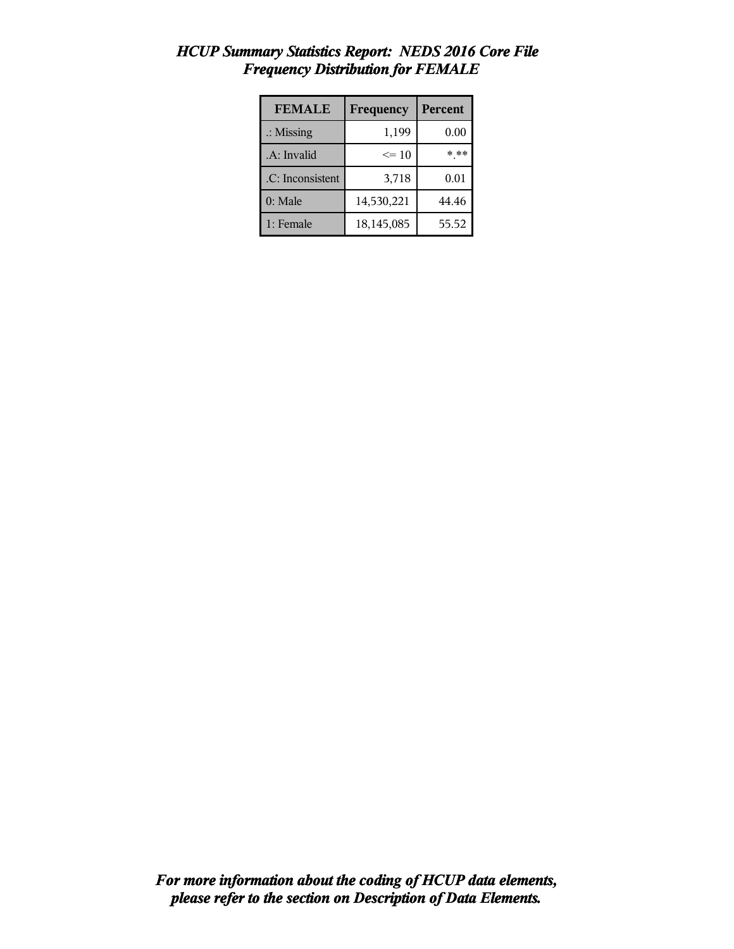| <b>FEMALE</b>        | Frequency  | <b>Percent</b> |
|----------------------|------------|----------------|
| $\therefore$ Missing | 1,199      | 0.00           |
| .A: Invalid          | $\leq 10$  | * **           |
| .C: Inconsistent     | 3,718      | 0.01           |
| 0: Male              | 14,530,221 | 44.46          |
| 1: Female            | 18,145,085 | 55.52          |

#### *HCUP Summary Statistics Report: NEDS 2016 Core File Frequency Distribution for FEMALE*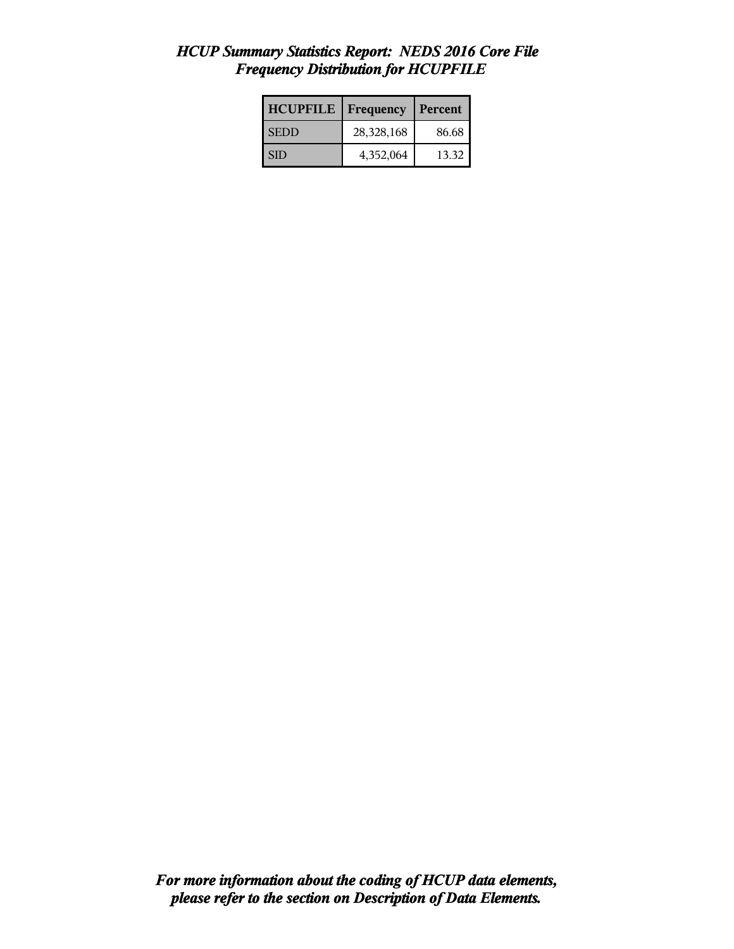#### *HCUP Summary Statistics Report: NEDS 2016 Core File Frequency Distribution for HCUPFILE*

| <b>HCUPFILE</b> | <b>Frequency</b> | Percent |
|-----------------|------------------|---------|
| <b>SEDD</b>     | 28,328,168       | 86.68   |
| I SID           | 4,352,064        | 13.32   |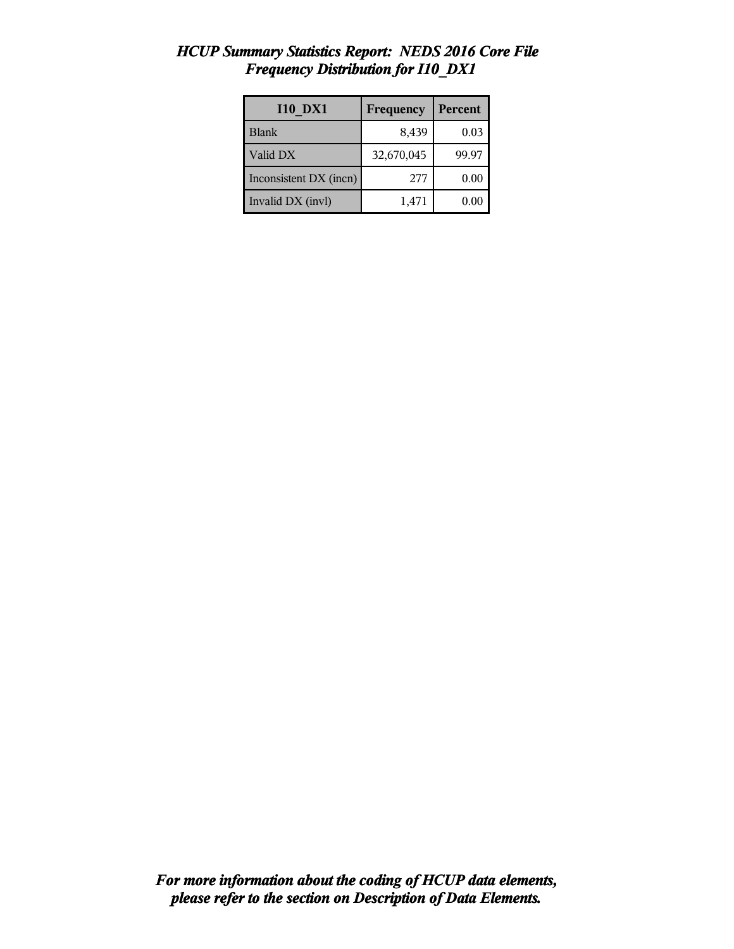| <b>I10 DX1</b>         | Frequency  | Percent |
|------------------------|------------|---------|
| <b>Blank</b>           | 8,439      | 0.03    |
| Valid DX               | 32,670,045 | 99.97   |
| Inconsistent DX (incn) | 277        | 0.00    |
| Invalid DX (invl)      | 1,471      | 0.00    |

## *HCUP Summary Statistics Report: NEDS 2016 Core File Frequency Distribution for I10\_DX1*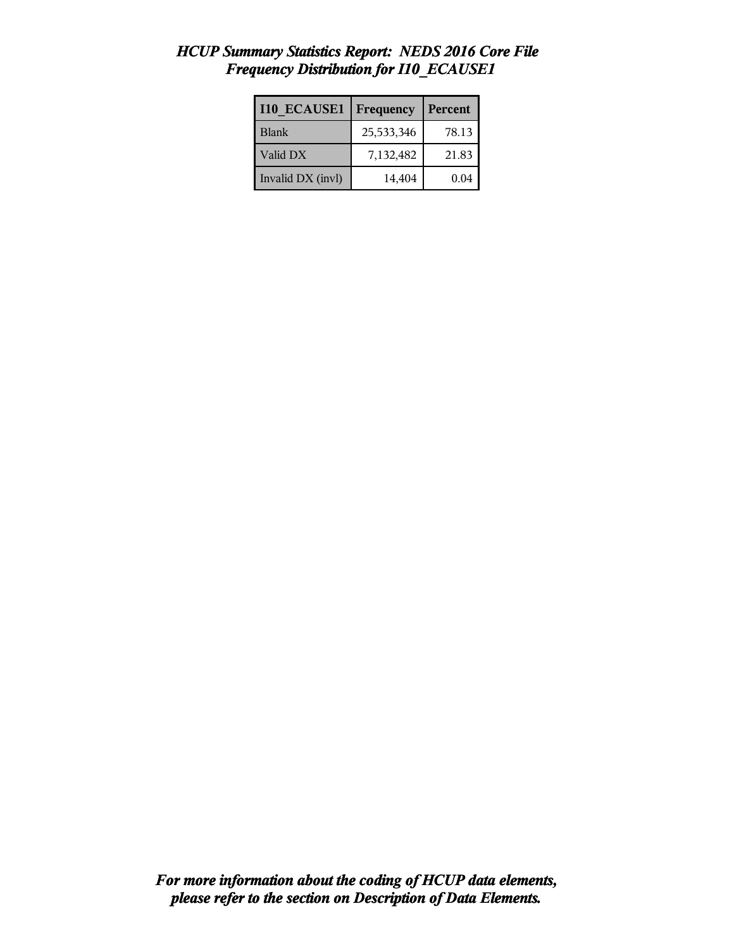| <b>I10 ECAUSE1</b> | Frequency  | Percent |
|--------------------|------------|---------|
| <b>Blank</b>       | 25,533,346 | 78.13   |
| Valid DX           | 7,132,482  | 21.83   |
| Invalid DX (invl)  | 14,404     | 0.04    |

### *HCUP Summary Statistics Report: NEDS 2016 Core File Frequency Distribution for I10\_ECAUSE1*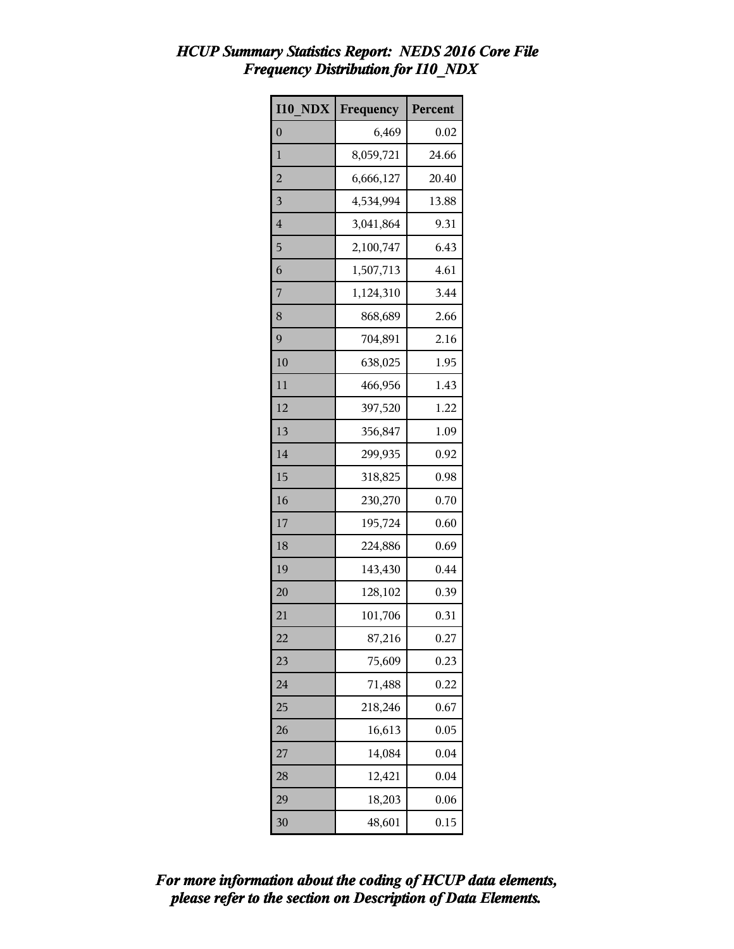## *HCUP Summary Statistics Report: NEDS 2016 Core File Frequency Distribution for I10\_NDX*

| <b>I10 NDX</b> | Frequency | Percent |
|----------------|-----------|---------|
| $\overline{0}$ | 6,469     | 0.02    |
| 1              | 8,059,721 | 24.66   |
| $\overline{c}$ | 6,666,127 | 20.40   |
| 3              | 4,534,994 | 13.88   |
| 4              | 3,041,864 | 9.31    |
| 5              | 2,100,747 | 6.43    |
| 6              | 1,507,713 | 4.61    |
| 7              | 1,124,310 | 3.44    |
| 8              | 868,689   | 2.66    |
| 9              | 704,891   | 2.16    |
| 10             | 638,025   | 1.95    |
| 11             | 466,956   | 1.43    |
| 12             | 397,520   | 1.22    |
| 13             | 356,847   | 1.09    |
| 14             | 299,935   | 0.92    |
| 15             | 318,825   | 0.98    |
| 16             | 230,270   | 0.70    |
| 17             | 195,724   | 0.60    |
| 18             | 224,886   | 0.69    |
| 19             | 143,430   | 0.44    |
| 20             | 128,102   | 0.39    |
| 21             | 101,706   | 0.31    |
| 22             | 87,216    | 0.27    |
| 23             | 75,609    | 0.23    |
| 24             | 71,488    | 0.22    |
| 25             | 218,246   | 0.67    |
| 26             | 16,613    | 0.05    |
| 27             | 14,084    | 0.04    |
| 28             | 12,421    | 0.04    |
| 29             | 18,203    | 0.06    |
| 30             | 48,601    | 0.15    |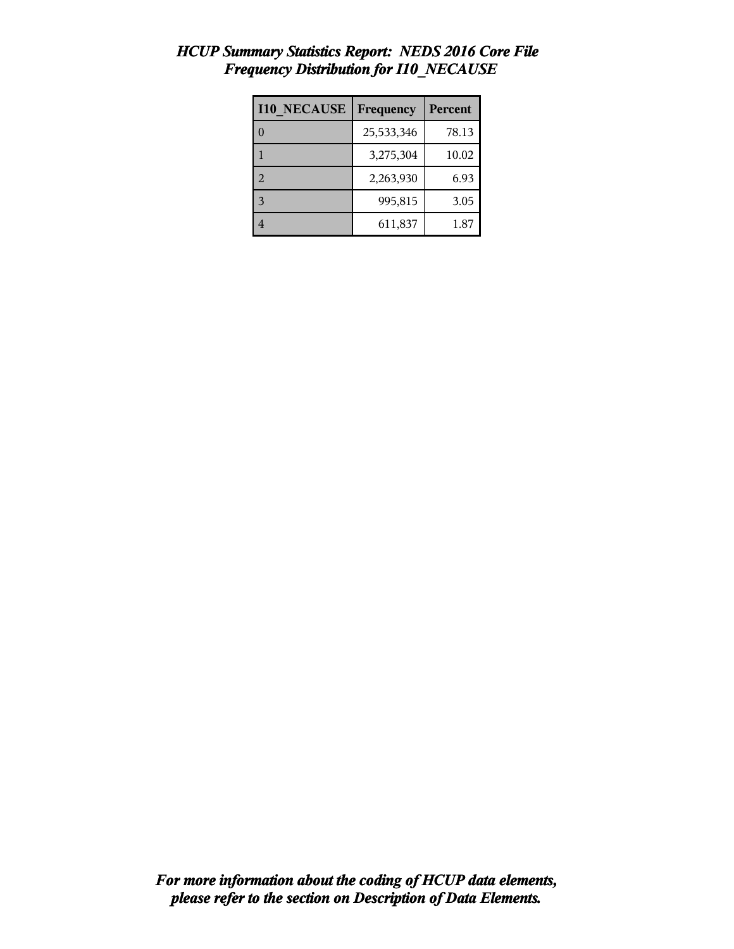| <b>I10 NECAUSE</b> | Frequency  | Percent |
|--------------------|------------|---------|
|                    | 25,533,346 | 78.13   |
|                    | 3,275,304  | 10.02   |
| $\mathcal{D}$      | 2,263,930  | 6.93    |
| $\mathbf{R}$       | 995,815    | 3.05    |
|                    | 611,837    | 1.87    |

## *HCUP Summary Statistics Report: NEDS 2016 Core File Frequency Distribution for I10\_NECAUSE*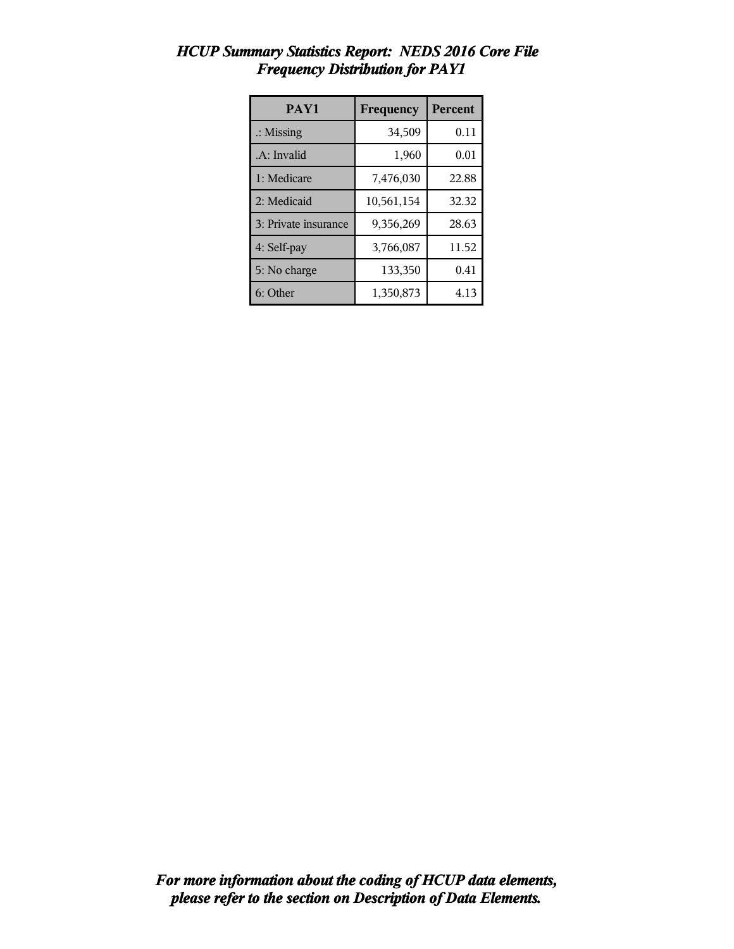| PAY1                 | Frequency  | <b>Percent</b> |
|----------------------|------------|----------------|
| $\therefore$ Missing | 34,509     | 0.11           |
| .A: Invalid          | 1,960      | 0.01           |
| 1: Medicare          | 7,476,030  | 22.88          |
| 2: Medicaid          | 10,561,154 | 32.32          |
| 3: Private insurance | 9,356,269  | 28.63          |
| 4: Self-pay          | 3,766,087  | 11.52          |
| 5: No charge         | 133,350    | 0.41           |
| 6: Other             | 1,350,873  | 4.13           |

## *HCUP Summary Statistics Report: NEDS 2016 Core File Frequency Distribution for PAY1*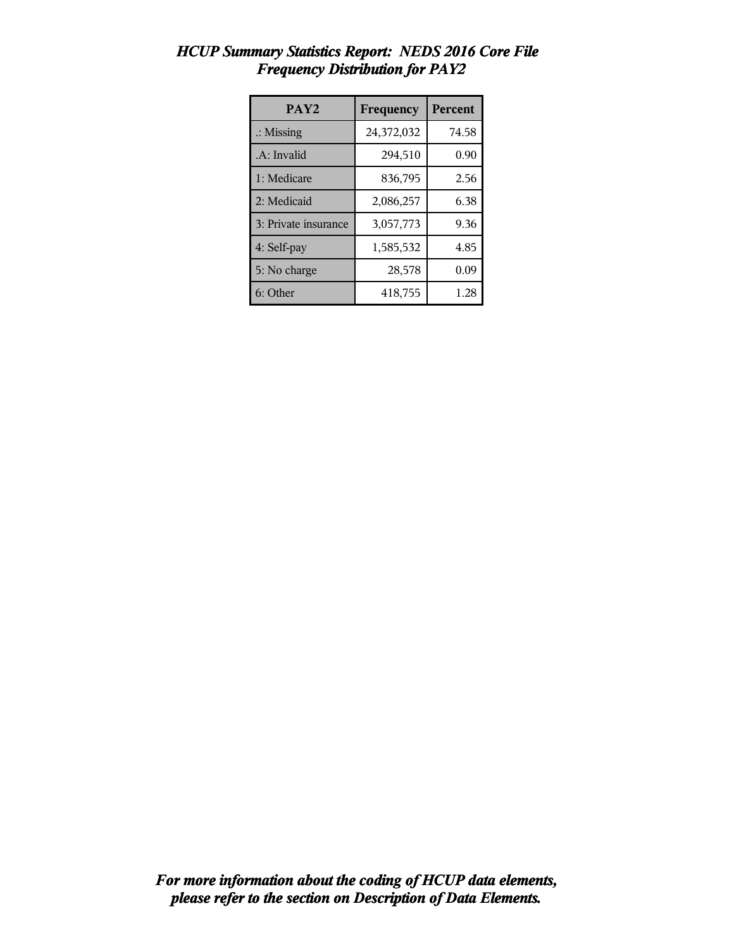| PAY <sub>2</sub>     | Frequency  | <b>Percent</b> |
|----------------------|------------|----------------|
| $\therefore$ Missing | 24,372,032 | 74.58          |
| .A: Invalid          | 294,510    | 0.90           |
| 1: Medicare          | 836,795    | 2.56           |
| 2: Medicaid          | 2,086,257  | 6.38           |
| 3: Private insurance | 3,057,773  | 9.36           |
| 4: Self-pay          | 1,585,532  | 4.85           |
| 5: No charge         | 28,578     | 0.09           |
| 6: Other             | 418,755    | 1.28           |

## *HCUP Summary Statistics Report: NEDS 2016 Core File Frequency Distribution for PAY2*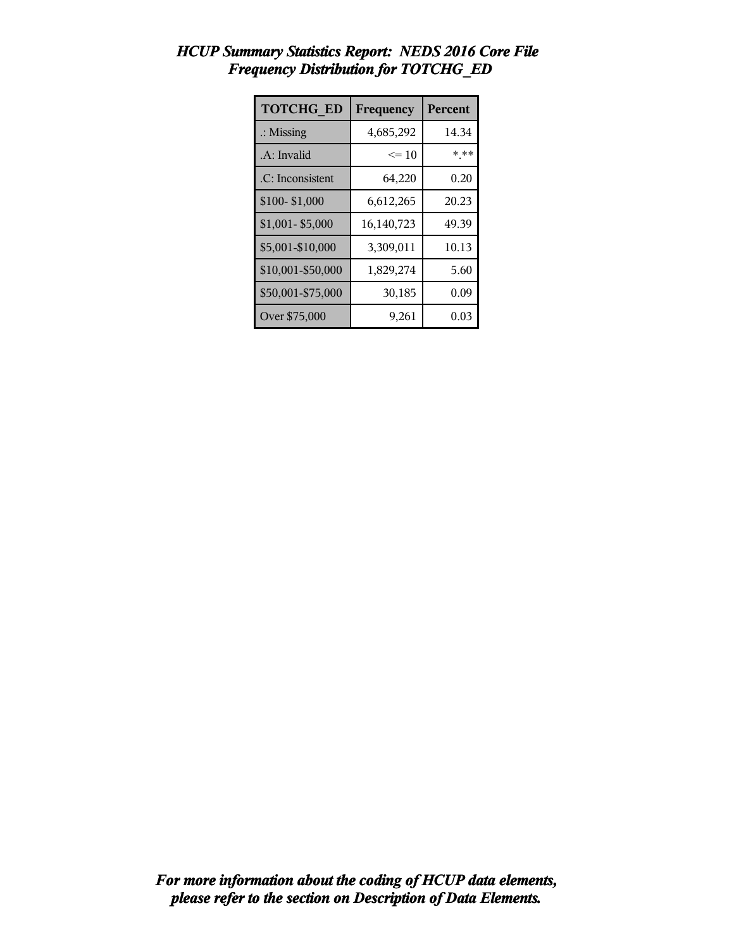| <b>TOTCHG ED</b>     | Frequency  | Percent |
|----------------------|------------|---------|
| $\therefore$ Missing | 4,685,292  | 14.34   |
| .A: Invalid          | $\leq 10$  | * **    |
| .C: Inconsistent     | 64,220     | 0.20    |
| \$100-\$1,000        | 6,612,265  | 20.23   |
| $$1,001 - $5,000$    | 16,140,723 | 49.39   |
| \$5,001-\$10,000     | 3,309,011  | 10.13   |
| \$10,001-\$50,000    | 1,829,274  | 5.60    |
| \$50,001-\$75,000    | 30,185     | 0.09    |
| Over \$75,000        | 9,261      | 0.03    |

## *HCUP Summary Statistics Report: NEDS 2016 Core File Frequency Distribution for TOTCHG\_ED*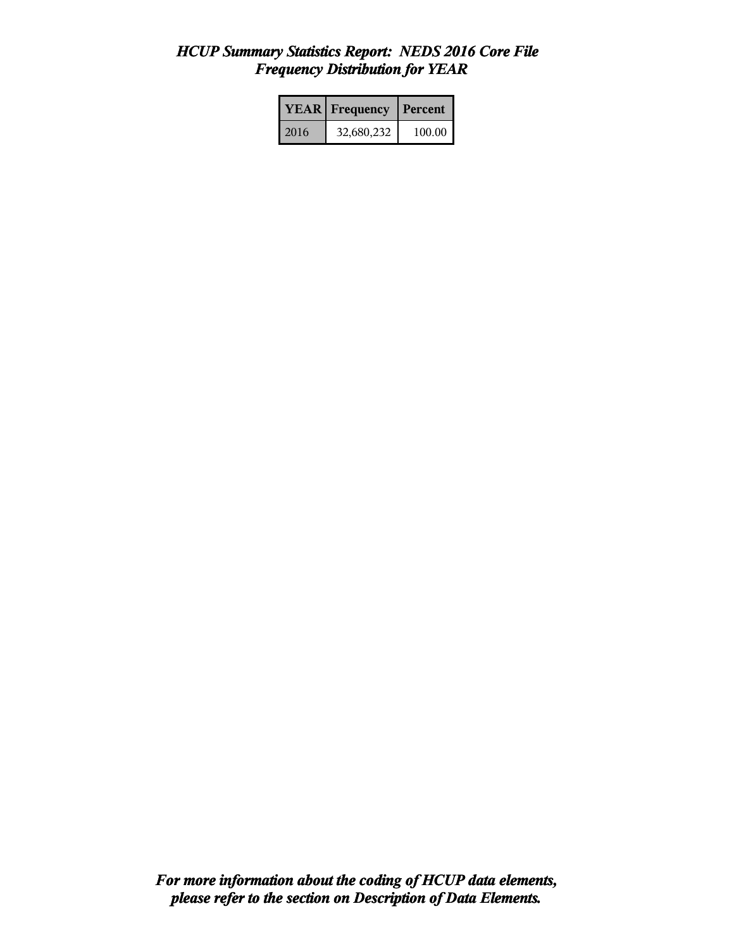## *HCUP Summary Statistics Report: NEDS 2016 Core File Frequency Distribution for YEAR*

|      | <b>YEAR</b> Frequency | <b>Percent</b> |
|------|-----------------------|----------------|
| 2016 | 32,680,232            | 100.00         |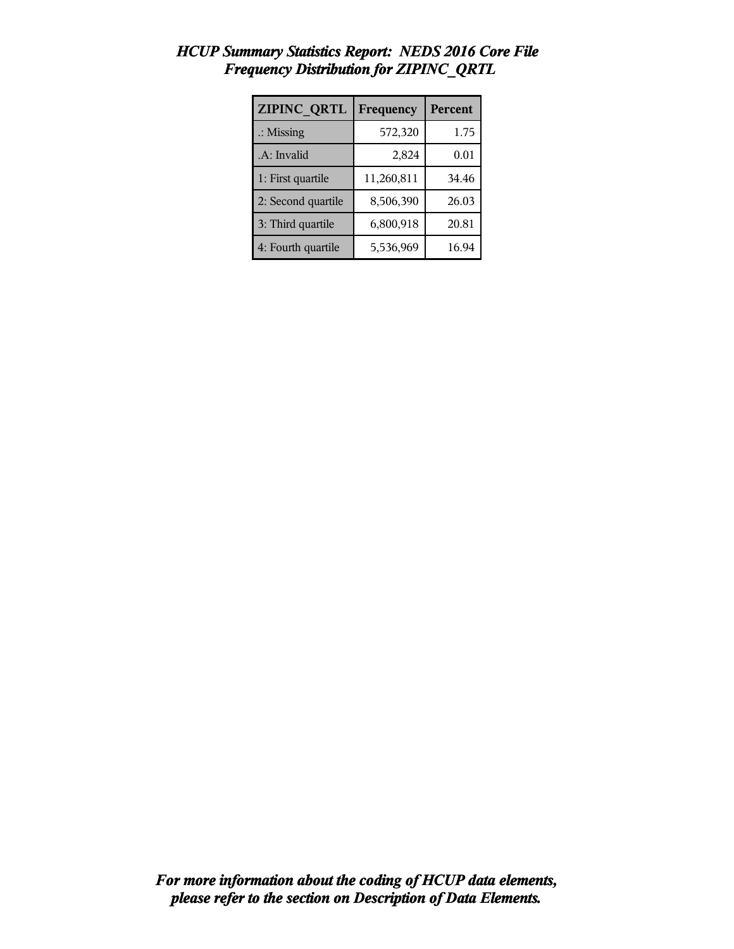| ZIPINC QRTL          | Frequency  | Percent |
|----------------------|------------|---------|
| $\therefore$ Missing | 572,320    | 1.75    |
| .A: Invalid          | 2,824      | 0.01    |
| 1: First quartile    | 11,260,811 | 34.46   |
| 2: Second quartile   | 8,506,390  | 26.03   |
| 3: Third quartile    | 6,800,918  | 20.81   |
| 4: Fourth quartile   | 5,536,969  | 16.94   |

## *HCUP Summary Statistics Report: NEDS 2016 Core File Frequency Distribution for ZIPINC\_QRTL*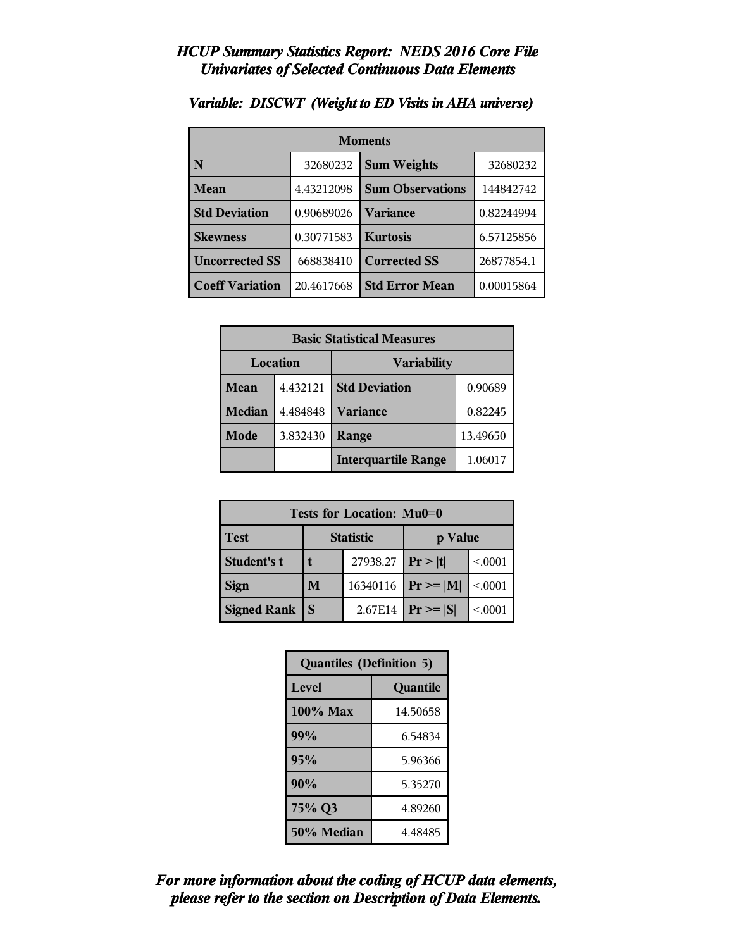| <b>Moments</b>         |            |                         |            |  |  |
|------------------------|------------|-------------------------|------------|--|--|
| N                      | 32680232   | <b>Sum Weights</b>      | 32680232   |  |  |
| Mean                   | 4.43212098 | <b>Sum Observations</b> | 144842742  |  |  |
| <b>Std Deviation</b>   | 0.90689026 | Variance                | 0.82244994 |  |  |
| <b>Skewness</b>        | 0.30771583 | <b>Kurtosis</b>         | 6.57125856 |  |  |
| <b>Uncorrected SS</b>  | 668838410  | <b>Corrected SS</b>     | 26877854.1 |  |  |
| <b>Coeff Variation</b> | 20.4617668 | <b>Std Error Mean</b>   | 0.00015864 |  |  |

#### *Variable: DISCWT (Weight to ED Visits in AHA universe)*

| <b>Basic Statistical Measures</b> |          |                            |          |  |
|-----------------------------------|----------|----------------------------|----------|--|
| Location                          |          | <b>Variability</b>         |          |  |
| Mean                              | 4.432121 | <b>Std Deviation</b>       | 0.90689  |  |
| <b>Median</b>                     | 4.484848 | <b>Variance</b>            | 0.82245  |  |
| Mode                              | 3.832430 | Range                      | 13.49650 |  |
|                                   |          | <b>Interquartile Range</b> | 1.06017  |  |

| Tests for Location: Mu0=0 |   |                  |               |         |  |  |
|---------------------------|---|------------------|---------------|---------|--|--|
| <b>Test</b>               |   | <b>Statistic</b> | p Value       |         |  |  |
| Student's t               |   | 27938.27         | Pr >  t       | < 0001  |  |  |
| <b>Sign</b>               | M | 16340116         | $Pr \geq  M $ | < 0001  |  |  |
| <b>Signed Rank</b>        | S | 2.67E14          | $Pr \geq  S $ | < 0.001 |  |  |

| <b>Quantiles (Definition 5)</b> |          |  |  |
|---------------------------------|----------|--|--|
| Level                           | Quantile |  |  |
| 100% Max                        | 14.50658 |  |  |
| 99%                             | 6.54834  |  |  |
| 95%                             | 5.96366  |  |  |
| 90%                             | 5.35270  |  |  |
| 75% Q3                          | 4.89260  |  |  |
| 50% Median                      | 4.48485  |  |  |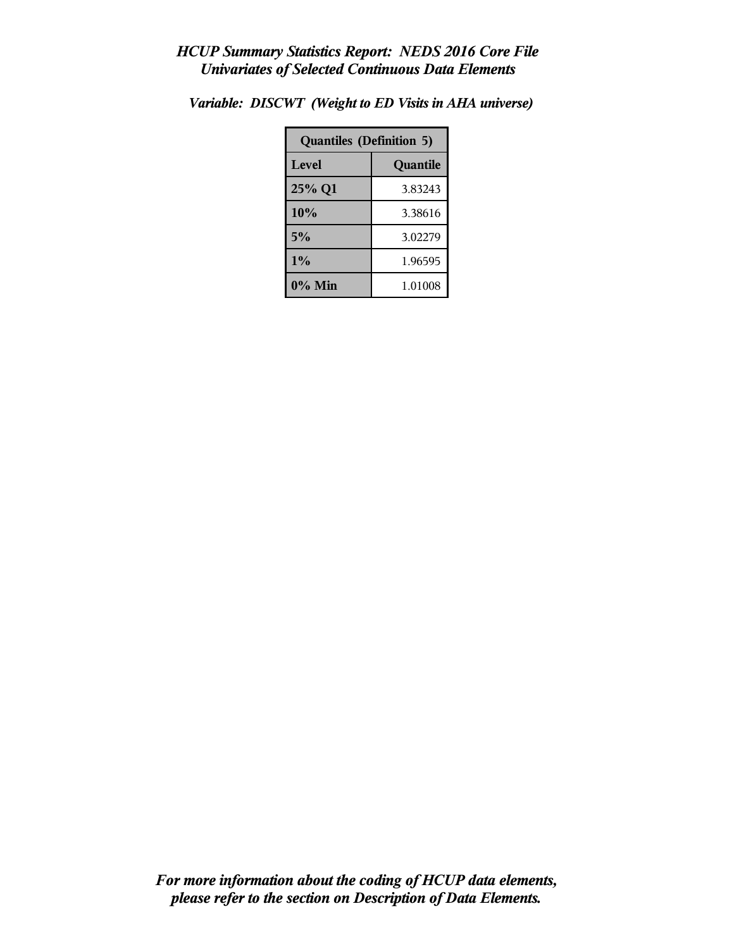| <b>Quantiles (Definition 5)</b> |          |  |
|---------------------------------|----------|--|
| Level                           | Quantile |  |
| 25% Q1                          | 3.83243  |  |
| 10%                             | 3.38616  |  |
| 5%                              | 3.02279  |  |
| 1%                              | 1.96595  |  |
| 0% Min                          | 1.01008  |  |

*Variable: DISCWT (Weight to ED Visits in AHA universe)*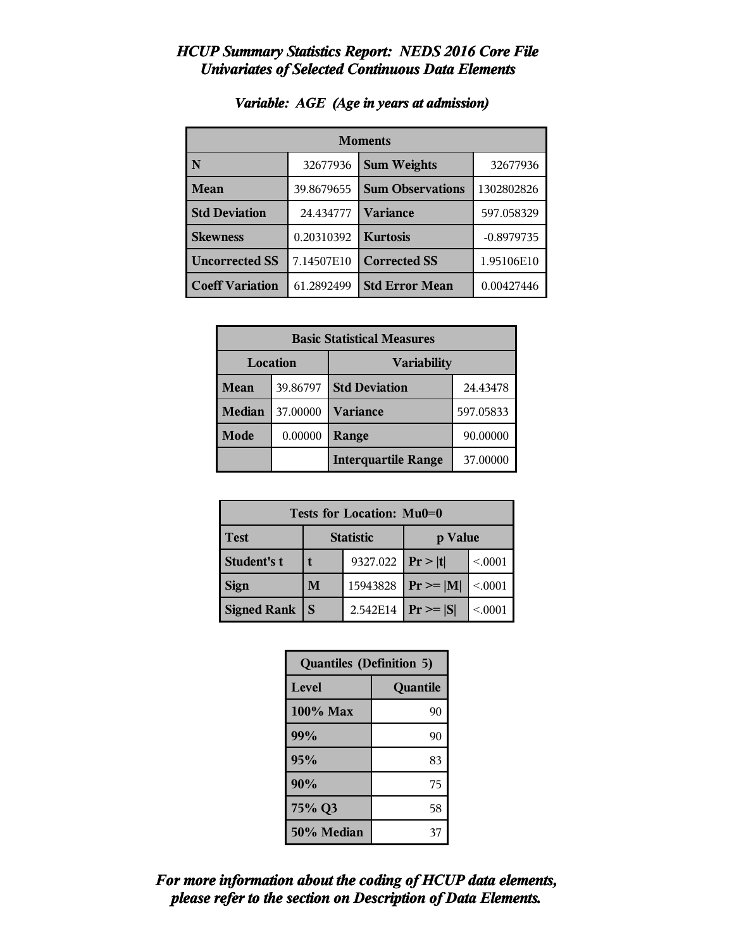| <b>Moments</b>         |            |                         |              |  |  |
|------------------------|------------|-------------------------|--------------|--|--|
| N                      | 32677936   | <b>Sum Weights</b>      | 32677936     |  |  |
| Mean                   | 39.8679655 | <b>Sum Observations</b> | 1302802826   |  |  |
| <b>Std Deviation</b>   | 24.434777  | <b>Variance</b>         | 597.058329   |  |  |
| <b>Skewness</b>        | 0.20310392 | <b>Kurtosis</b>         | $-0.8979735$ |  |  |
| <b>Uncorrected SS</b>  | 7.14507E10 | <b>Corrected SS</b>     | 1.95106E10   |  |  |
| <b>Coeff Variation</b> | 61.2892499 | <b>Std Error Mean</b>   | 0.00427446   |  |  |

#### *Variable: AGE (Age in years at admission)*

| <b>Basic Statistical Measures</b> |          |                            |           |  |
|-----------------------------------|----------|----------------------------|-----------|--|
| Location                          |          | <b>Variability</b>         |           |  |
| <b>Mean</b>                       | 39.86797 | <b>Std Deviation</b>       | 24.43478  |  |
| <b>Median</b>                     | 37.00000 | <b>Variance</b>            | 597.05833 |  |
| <b>Mode</b>                       | 0.00000  | <b>Range</b>               | 90.00000  |  |
|                                   |          | <b>Interquartile Range</b> | 37.00000  |  |

| Tests for Location: Mu0=0 |   |                  |                |         |  |
|---------------------------|---|------------------|----------------|---------|--|
| <b>Test</b>               |   | <b>Statistic</b> | p Value        |         |  |
| Student's t               |   | 9327.022         | Pr >  t        | < 0001  |  |
| <b>Sign</b>               | M | 15943828         | $Pr \ge =  M $ | < 0001  |  |
| <b>Signed Rank</b>        | S | 2.542E14         | $Pr \geq  S $  | < 0.001 |  |

| <b>Quantiles (Definition 5)</b> |          |  |
|---------------------------------|----------|--|
| Level                           | Quantile |  |
| 100% Max                        | 90       |  |
| 99%                             | 90       |  |
| 95%                             | 83       |  |
| 90%                             | 75       |  |
| 75% Q3                          | 58       |  |
| 50% Median                      | 37       |  |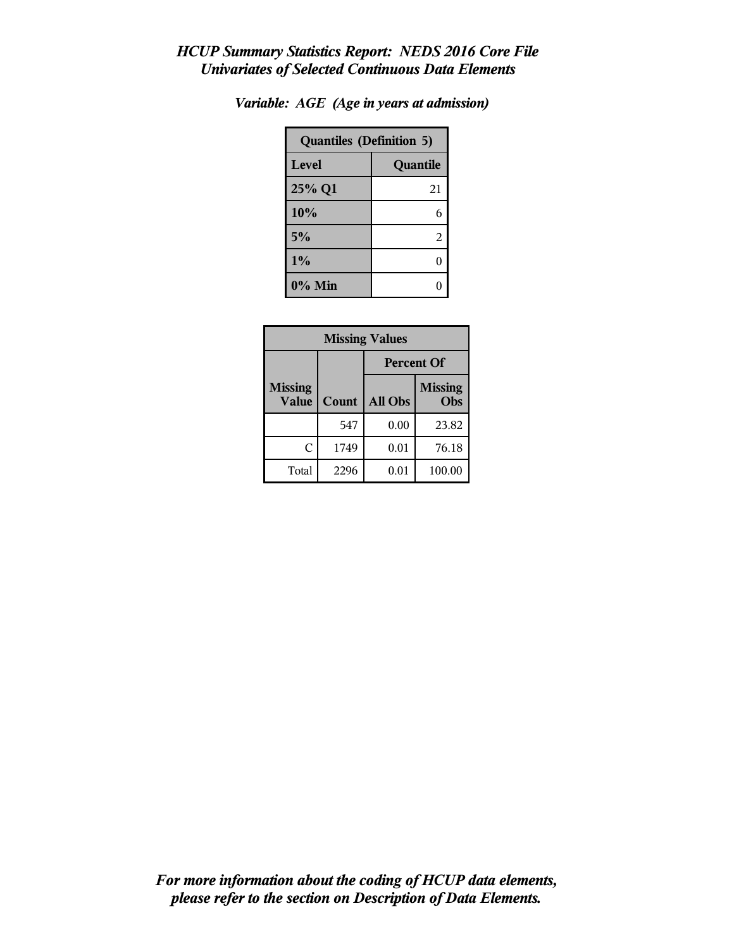| <b>Quantiles (Definition 5)</b> |          |  |
|---------------------------------|----------|--|
| Level                           | Quantile |  |
| 25% Q1                          | 21       |  |
| 10%                             | 6        |  |
| 5%                              | 2        |  |
| $1\%$                           | ſ        |  |
| 0% Min                          |          |  |

| Variable: AGE (Age in years at admission) |  |  |  |  |  |  |
|-------------------------------------------|--|--|--|--|--|--|
|-------------------------------------------|--|--|--|--|--|--|

| <b>Missing Values</b>          |       |                |                       |  |  |
|--------------------------------|-------|----------------|-----------------------|--|--|
|                                |       |                | <b>Percent Of</b>     |  |  |
| <b>Missing</b><br><b>Value</b> | Count | <b>All Obs</b> | <b>Missing</b><br>Obs |  |  |
|                                | 547   | 0.00           | 23.82                 |  |  |
| C                              | 1749  | 0.01           | 76.18                 |  |  |
| Total                          | 2296  | 0.01           | 100.00                |  |  |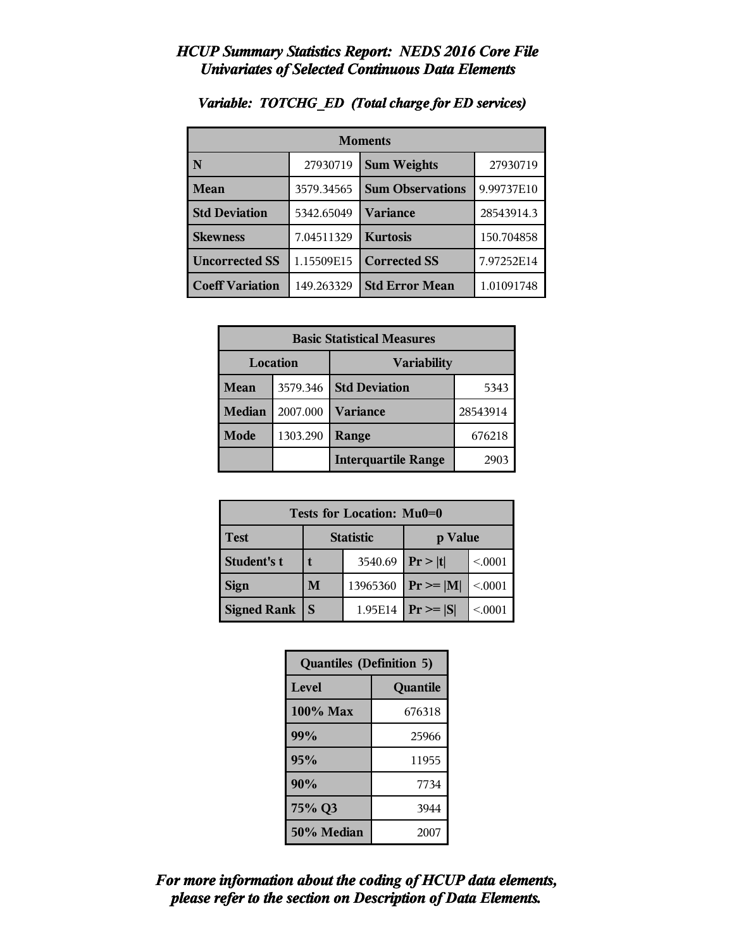| <b>Moments</b>         |            |                         |            |
|------------------------|------------|-------------------------|------------|
| N                      | 27930719   | <b>Sum Weights</b>      | 27930719   |
| <b>Mean</b>            | 3579.34565 | <b>Sum Observations</b> | 9.99737E10 |
| <b>Std Deviation</b>   | 5342.65049 | Variance                | 28543914.3 |
| <b>Skewness</b>        | 7.04511329 | <b>Kurtosis</b>         | 150.704858 |
| <b>Uncorrected SS</b>  | 1.15509E15 | <b>Corrected SS</b>     | 7.97252E14 |
| <b>Coeff Variation</b> | 149.263329 | <b>Std Error Mean</b>   | 1.01091748 |

#### *Variable: TOTCHG\_ED (Total charge for ED services)*

| <b>Basic Statistical Measures</b> |          |                            |                  |  |
|-----------------------------------|----------|----------------------------|------------------|--|
| Location                          |          | <b>Variability</b>         |                  |  |
| Mean                              | 3579.346 | <b>Std Deviation</b>       | 5343             |  |
| <b>Median</b>                     | 2007.000 | <b>Variance</b>            | 28543914         |  |
| Mode                              | 1303.290 | Range                      | 676218           |  |
|                                   |          | <b>Interquartile Range</b> | 290 <sup>-</sup> |  |

| Tests for Location: Mu0=0 |                  |          |               |        |
|---------------------------|------------------|----------|---------------|--------|
| <b>Test</b>               | <b>Statistic</b> |          | p Value       |        |
| Student's t               |                  | 3540.69  | Pr >  t       | < 0001 |
| <b>Sign</b>               | M                | 13965360 | $Pr \geq  M $ | < 0001 |
| <b>Signed Rank</b>        | S                | 1.95E14  | $Pr \geq  S $ | < 0001 |

| <b>Quantiles (Definition 5)</b> |          |  |
|---------------------------------|----------|--|
| Level                           | Quantile |  |
| 100% Max                        | 676318   |  |
| 99%                             | 25966    |  |
| 95%                             | 11955    |  |
| 90%                             | 7734     |  |
| 75% Q3                          | 3944     |  |
| 50% Median                      | 2007     |  |